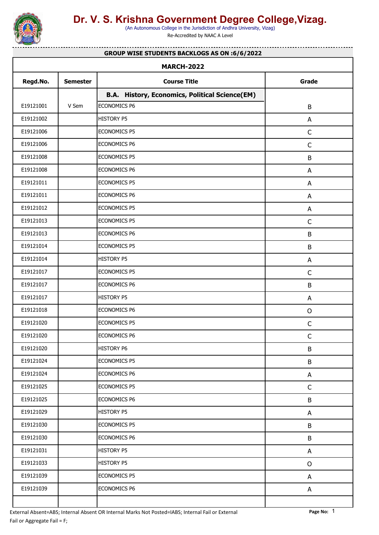

(An Autonomous College in the Jurisdiction of Andhra University, Vizag)

Re-Accredited by NAAC A Level

#### **GROUP WISE STUDENTS BACKLOGS AS ON :6/6/2022**

<u>. . . . . . . . . . . . . . .</u>

| <b>MARCH-2022</b> |                 |                                                       |              |  |  |
|-------------------|-----------------|-------------------------------------------------------|--------------|--|--|
| Regd.No.          | <b>Semester</b> | <b>Course Title</b>                                   | Grade        |  |  |
|                   |                 | <b>B.A. History, Economics, Political Science(EM)</b> |              |  |  |
| E19121001         | V Sem           | ECONOMICS P6                                          | B            |  |  |
| E19121002         |                 | HISTORY P5                                            | A            |  |  |
| E19121006         |                 | ECONOMICS P5                                          | $\mathsf C$  |  |  |
| E19121006         |                 | ECONOMICS P6                                          | $\mathsf C$  |  |  |
| E19121008         |                 | ECONOMICS P5                                          | $\sf B$      |  |  |
| E19121008         |                 | ECONOMICS P6                                          | A            |  |  |
| E19121011         |                 | ECONOMICS P5                                          | A            |  |  |
| E19121011         |                 | ECONOMICS P6                                          | A            |  |  |
| E19121012         |                 | ECONOMICS P5                                          | A            |  |  |
| E19121013         |                 | ECONOMICS P5                                          | $\mathsf C$  |  |  |
| E19121013         |                 | ECONOMICS P6                                          | $\sf B$      |  |  |
| E19121014         |                 | ECONOMICS P5                                          | $\sf B$      |  |  |
| E19121014         |                 | HISTORY P5                                            | A            |  |  |
| E19121017         |                 | ECONOMICS P5                                          | $\mathsf C$  |  |  |
| E19121017         |                 | ECONOMICS P6                                          | B            |  |  |
| E19121017         |                 | HISTORY P5                                            | A            |  |  |
| E19121018         |                 | ECONOMICS P6                                          | $\mathsf{O}$ |  |  |
| E19121020         |                 | ECONOMICS P5                                          | $\mathsf C$  |  |  |
| E19121020         |                 | ECONOMICS P6                                          | $\mathsf C$  |  |  |
| E19121020         |                 | <b>HISTORY P6</b>                                     | B            |  |  |
| E19121024         |                 | ECONOMICS P5                                          | $\sf B$      |  |  |
| E19121024         |                 | ECONOMICS P6                                          | A            |  |  |
| E19121025         |                 | ECONOMICS P5                                          | $\mathsf{C}$ |  |  |
| E19121025         |                 | ECONOMICS P6                                          | $\sf B$      |  |  |
| E19121029         |                 | HISTORY P5                                            | A            |  |  |
| E19121030         |                 | ECONOMICS P5                                          | B            |  |  |
| E19121030         |                 | ECONOMICS P6                                          | $\sf B$      |  |  |
| E19121031         |                 | <b>HISTORY P5</b>                                     | A            |  |  |
| E19121033         |                 | HISTORY P5                                            | $\mathsf{O}$ |  |  |
| E19121039         |                 | ECONOMICS P5                                          | A            |  |  |
| E19121039         |                 | ECONOMICS P6                                          | A            |  |  |
|                   |                 |                                                       |              |  |  |
|                   |                 |                                                       |              |  |  |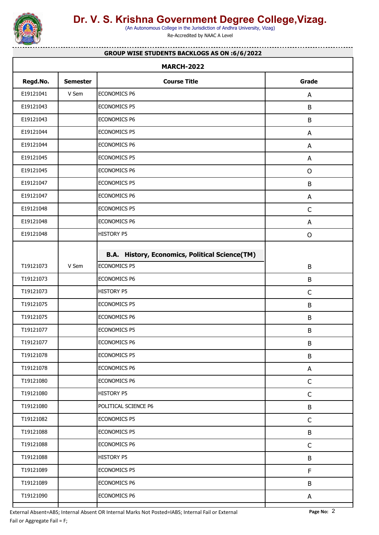

(An Autonomous College in the Jurisdiction of Andhra University, Vizag)

Re-Accredited by NAAC A Level

#### **GROUP WISE STUDENTS BACKLOGS AS ON :6/6/2022**

. . . . . . . . . . . . . . .

| <b>MARCH-2022</b> |                 |                                                       |              |  |  |
|-------------------|-----------------|-------------------------------------------------------|--------------|--|--|
| Regd.No.          | <b>Semester</b> | <b>Course Title</b>                                   | Grade        |  |  |
| E19121041         | V Sem           | ECONOMICS P6                                          | A            |  |  |
| E19121043         |                 | <b>ECONOMICS P5</b>                                   | B            |  |  |
| E19121043         |                 | ECONOMICS P6                                          | $\sf B$      |  |  |
| E19121044         |                 | ECONOMICS P5                                          | A            |  |  |
| E19121044         |                 | ECONOMICS P6                                          | A            |  |  |
| E19121045         |                 | ECONOMICS P5                                          | A            |  |  |
| E19121045         |                 | ECONOMICS P6                                          | $\mathsf{O}$ |  |  |
| E19121047         |                 | <b>ECONOMICS P5</b>                                   | B            |  |  |
| E19121047         |                 | ECONOMICS P6                                          | A            |  |  |
| E19121048         |                 | <b>ECONOMICS P5</b>                                   | $\mathsf{C}$ |  |  |
| E19121048         |                 | ECONOMICS P6                                          | A            |  |  |
| E19121048         |                 | <b>HISTORY P5</b>                                     | $\mathsf O$  |  |  |
|                   |                 | <b>B.A. History, Economics, Political Science(TM)</b> |              |  |  |
| T19121073         | V Sem           | <b>ECONOMICS P5</b>                                   | B            |  |  |
| T19121073         |                 | ECONOMICS P6                                          | B            |  |  |
| T19121073         |                 | <b>HISTORY P5</b>                                     | $\mathsf C$  |  |  |
| T19121075         |                 | <b>ECONOMICS P5</b>                                   | B            |  |  |
| T19121075         |                 | ECONOMICS P6                                          | B            |  |  |
| T19121077         |                 | <b>ECONOMICS P5</b>                                   | $\sf B$      |  |  |
| T19121077         |                 | <b>ECONOMICS P6</b>                                   | B            |  |  |
| T19121078         |                 | <b>ECONOMICS P5</b>                                   | B            |  |  |
| T19121078         |                 | ECONOMICS P6                                          | A            |  |  |
| T19121080         |                 | ECONOMICS P6                                          | $\mathsf C$  |  |  |
| T19121080         |                 | <b>HISTORY P5</b>                                     | $\mathsf C$  |  |  |
| T19121080         |                 | POLITICAL SCIENCE P6                                  | B            |  |  |
| T19121082         |                 | <b>ECONOMICS P5</b>                                   | $\mathsf C$  |  |  |
| T19121088         |                 | ECONOMICS P5                                          | B            |  |  |
| T19121088         |                 | ECONOMICS P6                                          | $\mathsf C$  |  |  |
| T19121088         |                 | <b>HISTORY P5</b>                                     | B            |  |  |
| T19121089         |                 | ECONOMICS P5                                          | F            |  |  |
| T19121089         |                 | ECONOMICS P6                                          | $\sf B$      |  |  |
| T19121090         |                 | ECONOMICS P6                                          | A            |  |  |
|                   |                 |                                                       |              |  |  |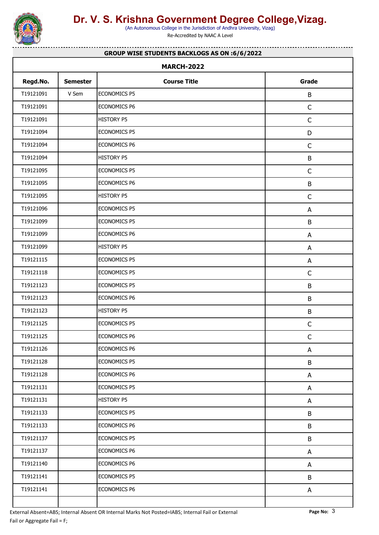

(An Autonomous College in the Jurisdiction of Andhra University, Vizag)

Re-Accredited by NAAC A Level

#### **GROUP WISE STUDENTS BACKLOGS AS ON :6/6/2022**

. . . . . . . . . . . . . . .

| Regd.No.  | <b>Semester</b> | <b>Course Title</b> | Grade        |
|-----------|-----------------|---------------------|--------------|
| T19121091 | V Sem           | <b>ECONOMICS P5</b> | B            |
| T19121091 |                 | <b>ECONOMICS P6</b> | $\mathsf C$  |
| T19121091 |                 | <b>HISTORY P5</b>   | $\mathsf C$  |
| T19121094 |                 | ECONOMICS P5        | D            |
| T19121094 |                 | <b>ECONOMICS P6</b> | $\mathsf{C}$ |
| T19121094 |                 | <b>HISTORY P5</b>   | B            |
| T19121095 |                 | ECONOMICS P5        | $\mathsf C$  |
| T19121095 |                 | <b>ECONOMICS P6</b> | B            |
| T19121095 |                 | <b>HISTORY P5</b>   | $\mathsf C$  |
| T19121096 |                 | <b>ECONOMICS P5</b> | A            |
| T19121099 |                 | <b>ECONOMICS P5</b> | B            |
| T19121099 |                 | <b>ECONOMICS P6</b> | A            |
| T19121099 |                 | <b>HISTORY P5</b>   | A            |
| T19121115 |                 | ECONOMICS P5        | A            |
| T19121118 |                 | <b>ECONOMICS P5</b> | $\mathsf C$  |
| T19121123 |                 | <b>ECONOMICS P5</b> | B            |
| T19121123 |                 | <b>ECONOMICS P6</b> | B            |
| T19121123 |                 | <b>HISTORY P5</b>   | B            |
| T19121125 |                 | <b>ECONOMICS P5</b> | $\mathsf{C}$ |
| T19121125 |                 | <b>ECONOMICS P6</b> | $\mathsf C$  |
| T19121126 |                 | <b>ECONOMICS P6</b> | A            |
| T19121128 |                 | ECONOMICS P5        | B            |
| T19121128 |                 | ECONOMICS P6        | A            |
| T19121131 |                 | ECONOMICS P5        | A            |
| T19121131 |                 | <b>HISTORY P5</b>   | A            |
| T19121133 |                 | ECONOMICS P5        | B            |
| T19121133 |                 | ECONOMICS P6        | B            |
| T19121137 |                 | ECONOMICS P5        | B            |
| T19121137 |                 | ECONOMICS P6        | A            |
| T19121140 |                 | ECONOMICS P6        | A            |
| T19121141 |                 | ECONOMICS P5        | B            |
| T19121141 |                 | ECONOMICS P6        | A            |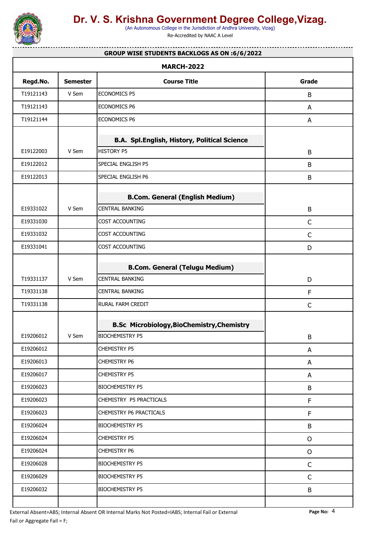

(An Autonomous College in the Jurisdiction of Andhra University, Vizag)

. . . . . . . . . . . . . .

Re-Accredited by NAAC A Level

#### **GROUP WISE STUDENTS BACKLOGS AS ON :6/6/2022**

|           |                 | <b>MARCH-2022</b>                                   |              |
|-----------|-----------------|-----------------------------------------------------|--------------|
| Regd.No.  | <b>Semester</b> | <b>Course Title</b>                                 | Grade        |
| T19121143 | V Sem           | <b>ECONOMICS P5</b>                                 | B            |
| T19121143 |                 | <b>ECONOMICS P6</b>                                 | A            |
| T19121144 |                 | <b>ECONOMICS P6</b>                                 | A            |
|           |                 | <b>B.A. Spl.English, History, Political Science</b> |              |
| E19122003 | V Sem           | <b>HISTORY P5</b>                                   | B            |
| E19122012 |                 | SPECIAL ENGLISH P5                                  | B            |
| E19122013 |                 | SPECIAL ENGLISH P6                                  | B            |
|           |                 | <b>B.Com. General (English Medium)</b>              |              |
| E19331022 | V Sem           | <b>CENTRAL BANKING</b>                              | B            |
| E19331030 |                 | COST ACCOUNTING                                     | $\mathsf C$  |
| E19331032 |                 | COST ACCOUNTING                                     | $\mathsf C$  |
| E19331041 |                 | COST ACCOUNTING                                     | D            |
|           |                 | <b>B.Com. General (Telugu Medium)</b>               |              |
| T19331137 | V Sem           | <b>CENTRAL BANKING</b>                              | D            |
| T19331138 |                 | <b>CENTRAL BANKING</b>                              | F            |
| T19331138 |                 | RURAL FARM CREDIT                                   | $\mathsf{C}$ |
|           |                 | <b>B.Sc Microbiology, BioChemistry, Chemistry</b>   |              |
| E19206012 | V Sem           | <b>BIOCHEMISTRY P5</b>                              | B            |
| E19206012 |                 | <b>CHEMISTRY P5</b>                                 | A            |
| E19206013 |                 | <b>CHEMISTRY P6</b>                                 | A            |
| E19206017 |                 | <b>CHEMISTRY P5</b>                                 | A            |
| E19206023 |                 | <b>BIOCHEMISTRY P5</b>                              | B            |
| E19206023 |                 | CHEMISTRY P5 PRACTICALS                             | F            |
| E19206023 |                 | CHEMISTRY P6 PRACTICALS                             | F            |
| E19206024 |                 | <b>BIOCHEMISTRY P5</b>                              | B            |
| E19206024 |                 | <b>CHEMISTRY P5</b>                                 | $\mathsf{O}$ |
| E19206024 |                 | <b>CHEMISTRY P6</b>                                 | $\circ$      |
| E19206028 |                 | <b>BIOCHEMISTRY P5</b>                              | $\mathsf{C}$ |
| E19206029 |                 | <b>BIOCHEMISTRY P5</b>                              | $\mathsf C$  |
| E19206032 |                 | <b>BIOCHEMISTRY P5</b>                              | B            |
|           |                 |                                                     |              |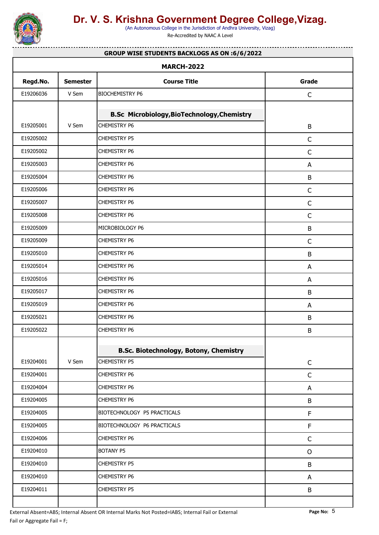

(An Autonomous College in the Jurisdiction of Andhra University, Vizag)

Re-Accredited by NAAC A Level

#### . . . . . . . . . . . . . . . **GROUP WISE STUDENTS BACKLOGS AS ON :6/6/2022**

|           |                 | <b>MARCH-2022</b>                                  |              |
|-----------|-----------------|----------------------------------------------------|--------------|
| Regd.No.  | <b>Semester</b> | <b>Course Title</b>                                | Grade        |
| E19206036 | V Sem           | <b>BIOCHEMISTRY P6</b>                             | $\mathsf C$  |
|           |                 | <b>B.Sc Microbiology, BioTechnology, Chemistry</b> |              |
| E19205001 | V Sem           | <b>CHEMISTRY P6</b>                                | B            |
| E19205002 |                 | CHEMISTRY P5                                       | $\mathsf C$  |
| E19205002 |                 | <b>CHEMISTRY P6</b>                                | $\mathsf C$  |
| E19205003 |                 | <b>CHEMISTRY P6</b>                                | A            |
| E19205004 |                 | CHEMISTRY P6                                       | $\sf B$      |
| E19205006 |                 | <b>CHEMISTRY P6</b>                                | $\mathsf C$  |
| E19205007 |                 | <b>CHEMISTRY P6</b>                                | $\mathsf C$  |
| E19205008 |                 | CHEMISTRY P6                                       | $\mathsf C$  |
| E19205009 |                 | MICROBIOLOGY P6                                    | B            |
| E19205009 |                 | <b>CHEMISTRY P6</b>                                | $\mathsf C$  |
| E19205010 |                 | CHEMISTRY P6                                       | B            |
| E19205014 |                 | <b>CHEMISTRY P6</b>                                | A            |
| E19205016 |                 | CHEMISTRY P6                                       | A            |
| E19205017 |                 | CHEMISTRY P6                                       | B            |
| E19205019 |                 | <b>CHEMISTRY P6</b>                                | A            |
| E19205021 |                 | CHEMISTRY P6                                       | $\sf B$      |
| E19205022 |                 | CHEMISTRY P6                                       | $\sf B$      |
|           |                 | <b>B.Sc. Biotechnology, Botony, Chemistry</b>      |              |
| E19204001 | V Sem           | CHEMISTRY P5                                       | $\mathsf C$  |
| E19204001 |                 | CHEMISTRY P6                                       | $\mathsf C$  |
| E19204004 |                 | CHEMISTRY P6                                       | A            |
| E19204005 |                 | <b>CHEMISTRY P6</b>                                | $\sf B$      |
| E19204005 |                 | BIOTECHNOLOGY P5 PRACTICALS                        | $\mathsf F$  |
| E19204005 |                 | BIOTECHNOLOGY P6 PRACTICALS                        | $\mathsf F$  |
| E19204006 |                 | <b>CHEMISTRY P6</b>                                | $\mathsf{C}$ |
| E19204010 |                 | BOTANY P5                                          | $\mathsf O$  |
| E19204010 |                 | <b>CHEMISTRY P5</b>                                | B            |
| E19204010 |                 | CHEMISTRY P6                                       | A            |
| E19204011 |                 | CHEMISTRY P5                                       | $\sf B$      |
|           |                 |                                                    |              |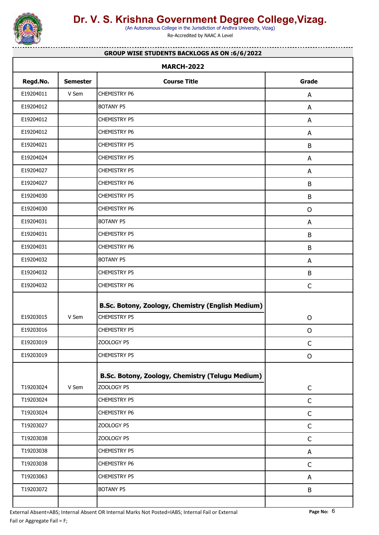

(An Autonomous College in the Jurisdiction of Andhra University, Vizag)

Re-Accredited by NAAC A Level

#### **GROUP WISE STUDENTS BACKLOGS AS ON :6/6/2022**

. . . . . . . . . . . . . .

|           |                 | <b>MARCH-2022</b>                                 |              |
|-----------|-----------------|---------------------------------------------------|--------------|
| Regd.No.  | <b>Semester</b> | <b>Course Title</b>                               | Grade        |
| E19204011 | V Sem           | <b>CHEMISTRY P6</b>                               | A            |
| E19204012 |                 | <b>BOTANY P5</b>                                  | A            |
| E19204012 |                 | <b>CHEMISTRY P5</b>                               | A            |
| E19204012 |                 | <b>CHEMISTRY P6</b>                               | A            |
| E19204021 |                 | <b>CHEMISTRY P5</b>                               | B            |
| E19204024 |                 | <b>CHEMISTRY P5</b>                               | A            |
| E19204027 |                 | <b>CHEMISTRY P5</b>                               | A            |
| E19204027 |                 | <b>CHEMISTRY P6</b>                               | B            |
| E19204030 |                 | <b>CHEMISTRY P5</b>                               | $\sf B$      |
| E19204030 |                 | <b>CHEMISTRY P6</b>                               | $\mathsf{O}$ |
| E19204031 |                 | <b>BOTANY P5</b>                                  | A            |
| E19204031 |                 | <b>CHEMISTRY P5</b>                               | $\sf B$      |
| E19204031 |                 | <b>CHEMISTRY P6</b>                               | $\sf B$      |
| E19204032 |                 | <b>BOTANY P5</b>                                  | A            |
| E19204032 |                 | <b>CHEMISTRY P5</b>                               | B            |
| E19204032 |                 | <b>CHEMISTRY P6</b>                               | $\mathsf C$  |
|           |                 | B.Sc. Botony, Zoology, Chemistry (English Medium) |              |
| E19203015 | V Sem           | <b>CHEMISTRY P5</b>                               | $\mathsf O$  |
| E19203016 |                 | <b>CHEMISTRY P5</b>                               | $\mathsf{O}$ |
| E19203019 |                 | ZOOLOGY P5                                        | $\mathsf{C}$ |
| E19203019 |                 | <b>CHEMISTRY P5</b>                               | $\mathsf O$  |
|           |                 | B.Sc. Botony, Zoology, Chemistry (Telugu Medium)  |              |
| T19203024 | V Sem           | ZOOLOGY P5                                        | $\mathsf C$  |
| T19203024 |                 | CHEMISTRY P5                                      | $\mathsf C$  |
| T19203024 |                 | <b>CHEMISTRY P6</b>                               | $\mathsf C$  |
| T19203027 |                 | ZOOLOGY P5                                        | $\mathsf C$  |
| T19203038 |                 | ZOOLOGY P5                                        | $\mathsf C$  |
| T19203038 |                 | <b>CHEMISTRY P5</b>                               | A            |
| T19203038 |                 | CHEMISTRY P6                                      | $\mathsf C$  |
| T19203063 |                 | <b>CHEMISTRY P5</b>                               | A            |
| T19203072 |                 | <b>BOTANY P5</b>                                  | $\sf B$      |
|           |                 |                                                   |              |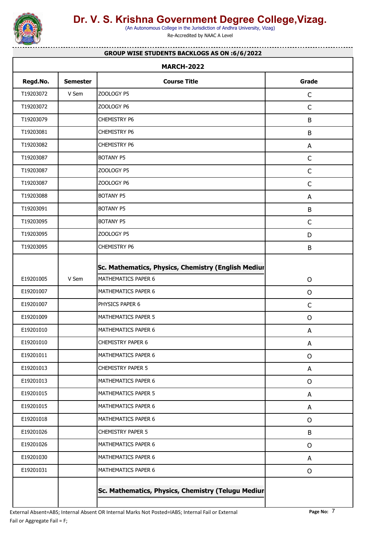

(An Autonomous College in the Jurisdiction of Andhra University, Vizag)

Re-Accredited by NAAC A Level

#### **GROUP WISE STUDENTS BACKLOGS AS ON :6/6/2022**

<u>. . . . . . . . . . . . . . .</u>

| Regd.No.  | <b>Semester</b> | <b>Course Title</b>                                 | Grade        |
|-----------|-----------------|-----------------------------------------------------|--------------|
| T19203072 | V Sem           | ZOOLOGY P5                                          | $\mathsf C$  |
| T19203072 |                 | ZOOLOGY P6                                          | $\mathsf C$  |
| T19203079 |                 | <b>CHEMISTRY P6</b>                                 | $\sf B$      |
| T19203081 |                 | <b>CHEMISTRY P6</b>                                 | $\sf B$      |
| T19203082 |                 | <b>CHEMISTRY P6</b>                                 | A            |
| T19203087 |                 | <b>BOTANY P5</b>                                    | $\mathsf C$  |
| T19203087 |                 | ZOOLOGY P5                                          | $\mathsf{C}$ |
| T19203087 |                 | ZOOLOGY P6                                          | $\mathsf C$  |
| T19203088 |                 | <b>BOTANY P5</b>                                    | A            |
| T19203091 |                 | BOTANY P5                                           | B            |
| T19203095 |                 | BOTANY P5                                           | $\mathsf C$  |
| T19203095 |                 | ZOOLOGY P5                                          | D            |
| T19203095 |                 | <b>CHEMISTRY P6</b>                                 | $\sf B$      |
|           |                 | Sc. Mathematics, Physics, Chemistry (English Mediur |              |
| E19201005 | V Sem           | MATHEMATICS PAPER 6                                 | $\mathsf O$  |
| E19201007 |                 | MATHEMATICS PAPER 6                                 | $\mathsf O$  |
| E19201007 |                 | PHYSICS PAPER 6                                     | $\mathsf C$  |
| E19201009 |                 | MATHEMATICS PAPER 5                                 | $\mathsf O$  |
| E19201010 |                 | MATHEMATICS PAPER 6                                 | A            |
| E19201010 |                 | <b>CHEMISTRY PAPER 6</b>                            | A            |
| E19201011 |                 | MATHEMATICS PAPER 6                                 | $\mathsf{O}$ |
| E19201013 |                 | CHEMISTRY PAPER 5                                   | A            |
| E19201013 |                 | MATHEMATICS PAPER 6                                 | $\mathsf{O}$ |
| E19201015 |                 | MATHEMATICS PAPER 5                                 | A            |
| E19201015 |                 | MATHEMATICS PAPER 6                                 | A            |
| E19201018 |                 | MATHEMATICS PAPER 6                                 | $\mathsf{O}$ |
| E19201026 |                 | CHEMISTRY PAPER 5                                   | B            |
| E19201026 |                 | MATHEMATICS PAPER 6                                 | $\mathsf{O}$ |
| E19201030 |                 | MATHEMATICS PAPER 6                                 | A            |
| E19201031 |                 | MATHEMATICS PAPER 6                                 | $\mathsf O$  |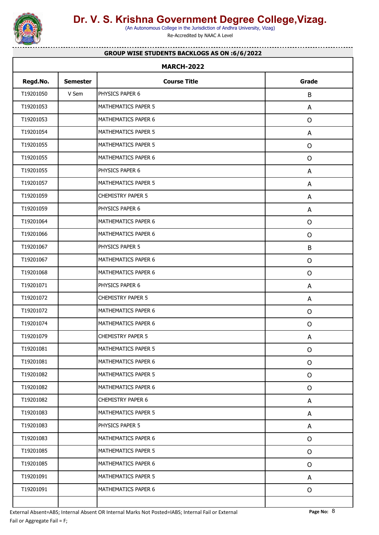

(An Autonomous College in the Jurisdiction of Andhra University, Vizag)

Re-Accredited by NAAC A Level

#### **GROUP WISE STUDENTS BACKLOGS AS ON :6/6/2022**

. . . . . . . . . . . . . . .

| <b>MARCH-2022</b> |                 |                          |              |  |
|-------------------|-----------------|--------------------------|--------------|--|
| Regd.No.          | <b>Semester</b> | <b>Course Title</b>      | Grade        |  |
| T19201050         | V Sem           | PHYSICS PAPER 6          | B            |  |
| T19201053         |                 | MATHEMATICS PAPER 5      | A            |  |
| T19201053         |                 | MATHEMATICS PAPER 6      | $\mathsf O$  |  |
| T19201054         |                 | MATHEMATICS PAPER 5      | A            |  |
| T19201055         |                 | MATHEMATICS PAPER 5      | $\mathsf{O}$ |  |
| T19201055         |                 | MATHEMATICS PAPER 6      | $\mathsf O$  |  |
| T19201055         |                 | PHYSICS PAPER 6          | A            |  |
| T19201057         |                 | MATHEMATICS PAPER 5      | A            |  |
| T19201059         |                 | <b>CHEMISTRY PAPER 5</b> | A            |  |
| T19201059         |                 | PHYSICS PAPER 6          | A            |  |
| T19201064         |                 | MATHEMATICS PAPER 6      | $\mathsf{O}$ |  |
| T19201066         |                 | MATHEMATICS PAPER 6      | $\mathsf O$  |  |
| T19201067         |                 | PHYSICS PAPER 5          | $\sf B$      |  |
| T19201067         |                 | MATHEMATICS PAPER 6      | $\mathsf{O}$ |  |
| T19201068         |                 | MATHEMATICS PAPER 6      | $\mathsf O$  |  |
| T19201071         |                 | PHYSICS PAPER 6          | A            |  |
| T19201072         |                 | <b>CHEMISTRY PAPER 5</b> | A            |  |
| T19201072         |                 | MATHEMATICS PAPER 6      | $\mathsf O$  |  |
| T19201074         |                 | MATHEMATICS PAPER 6      | $\mathsf{O}$ |  |
| T19201079         |                 | <b>CHEMISTRY PAPER 5</b> | A            |  |
| T19201081         |                 | MATHEMATICS PAPER 5      | $\mathsf O$  |  |
| T19201081         |                 | MATHEMATICS PAPER 6      | $\mathsf{O}$ |  |
| T19201082         |                 | MATHEMATICS PAPER 5      | $\mathsf{O}$ |  |
| T19201082         |                 | MATHEMATICS PAPER 6      | $\mathsf{O}$ |  |
| T19201082         |                 | <b>CHEMISTRY PAPER 6</b> | A            |  |
| T19201083         |                 | MATHEMATICS PAPER 5      | A            |  |
| T19201083         |                 | PHYSICS PAPER 5          | A            |  |
| T19201083         |                 | MATHEMATICS PAPER 6      | $\mathsf{O}$ |  |
| T19201085         |                 | MATHEMATICS PAPER 5      | $\mathsf{O}$ |  |
| T19201085         |                 | MATHEMATICS PAPER 6      | $\mathsf{O}$ |  |
| T19201091         |                 | MATHEMATICS PAPER 5      | A            |  |
| T19201091         |                 | MATHEMATICS PAPER 6      | $\mathsf{O}$ |  |
|                   |                 |                          |              |  |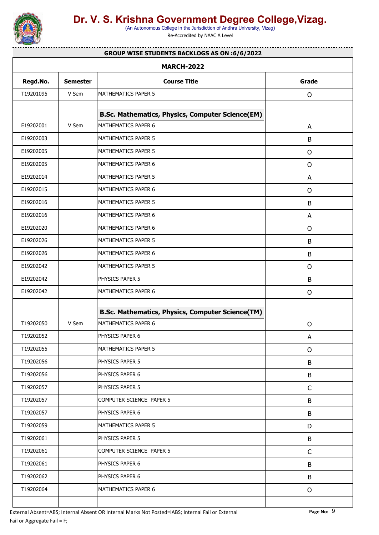

(An Autonomous College in the Jurisdiction of Andhra University, Vizag)

Re-Accredited by NAAC A Level

#### . . . . . . . . . . . . . . . **GROUP WISE STUDENTS BACKLOGS AS ON :6/6/2022**

| Regd.No.  | <b>Semester</b> | <b>Course Title</b>                                                            | Grade        |
|-----------|-----------------|--------------------------------------------------------------------------------|--------------|
| T19201095 | V Sem           | MATHEMATICS PAPER 5                                                            | $\mathsf{O}$ |
|           |                 | <b>B.Sc. Mathematics, Physics, Computer Science(EM)</b>                        |              |
| E19202001 | V Sem           | MATHEMATICS PAPER 6                                                            | A            |
| E19202003 |                 | MATHEMATICS PAPER 5                                                            | B            |
| E19202005 |                 | MATHEMATICS PAPER 5                                                            | $\circ$      |
| E19202005 |                 | MATHEMATICS PAPER 6                                                            | $\mathsf{O}$ |
| E19202014 |                 | MATHEMATICS PAPER 5                                                            | A            |
| E19202015 |                 | MATHEMATICS PAPER 6                                                            | $\mathsf{O}$ |
| E19202016 |                 | MATHEMATICS PAPER 5                                                            | B            |
| E19202016 |                 | MATHEMATICS PAPER 6                                                            | A            |
| E19202020 |                 | MATHEMATICS PAPER 6                                                            | $\mathsf{O}$ |
| E19202026 |                 | MATHEMATICS PAPER 5                                                            | B            |
| E19202026 |                 | MATHEMATICS PAPER 6                                                            | B            |
| E19202042 |                 | MATHEMATICS PAPER 5                                                            | $\mathsf{O}$ |
| E19202042 |                 | PHYSICS PAPER 5                                                                | B            |
| E19202042 |                 | MATHEMATICS PAPER 6                                                            | $\circ$      |
|           |                 |                                                                                |              |
| T19202050 | V Sem           | <b>B.Sc. Mathematics, Physics, Computer Science(TM)</b><br>MATHEMATICS PAPER 6 | $\mathsf{O}$ |
| T19202052 |                 | PHYSICS PAPER 6                                                                | A            |
| T19202055 |                 | MATHEMATICS PAPER 5                                                            | $\mathsf{O}$ |
| T19202056 |                 | PHYSICS PAPER 5                                                                | B            |
| T19202056 |                 | PHYSICS PAPER 6                                                                | B            |
| T19202057 |                 | PHYSICS PAPER 5                                                                | $\mathsf{C}$ |
|           |                 | COMPUTER SCIENCE PAPER 5                                                       | B            |
| T19202057 |                 |                                                                                |              |
| T19202057 |                 | PHYSICS PAPER 6                                                                |              |
| T19202059 |                 | MATHEMATICS PAPER 5                                                            | B<br>D       |
| T19202061 |                 | PHYSICS PAPER 5                                                                | B            |
| T19202061 |                 | COMPUTER SCIENCE PAPER 5                                                       | $\mathsf C$  |
| T19202061 |                 | PHYSICS PAPER 6                                                                | B            |
| T19202062 |                 | PHYSICS PAPER 6                                                                | B            |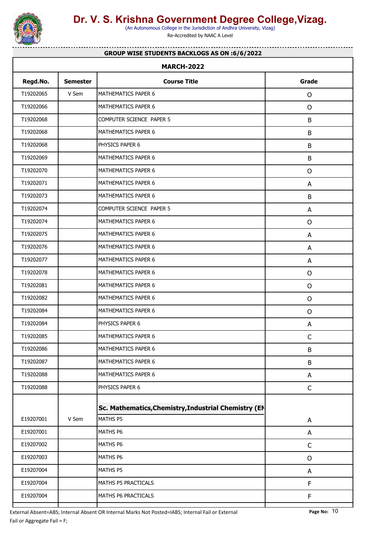

(An Autonomous College in the Jurisdiction of Andhra University, Vizag)

Re-Accredited by NAAC A Level

#### . . . . . . . . . . . . . . . **GROUP WISE STUDENTS BACKLOGS AS ON :6/6/2022**

| <b>MARCH-2022</b> |                 |                                                      |              |  |
|-------------------|-----------------|------------------------------------------------------|--------------|--|
| Regd.No.          | <b>Semester</b> | <b>Course Title</b>                                  | Grade        |  |
| T19202065         | V Sem           | MATHEMATICS PAPER 6                                  | $\mathsf{O}$ |  |
| T19202066         |                 | MATHEMATICS PAPER 6                                  | $\mathsf{O}$ |  |
| T19202068         |                 | COMPUTER SCIENCE PAPER 5                             | $\sf B$      |  |
| T19202068         |                 | MATHEMATICS PAPER 6                                  | B            |  |
| T19202068         |                 | PHYSICS PAPER 6                                      | B            |  |
| T19202069         |                 | MATHEMATICS PAPER 6                                  | B            |  |
| T19202070         |                 | MATHEMATICS PAPER 6                                  | $\mathsf{O}$ |  |
| T19202071         |                 | MATHEMATICS PAPER 6                                  | A            |  |
| T19202073         |                 | MATHEMATICS PAPER 6                                  | B            |  |
| T19202074         |                 | COMPUTER SCIENCE PAPER 5                             | A            |  |
| T19202074         |                 | MATHEMATICS PAPER 6                                  | $\circ$      |  |
| T19202075         |                 | MATHEMATICS PAPER 6                                  | A            |  |
| T19202076         |                 | MATHEMATICS PAPER 6                                  | A            |  |
| T19202077         |                 | MATHEMATICS PAPER 6                                  | A            |  |
| T19202078         |                 | MATHEMATICS PAPER 6                                  | $\circ$      |  |
| T19202081         |                 | MATHEMATICS PAPER 6                                  | $\mathsf{O}$ |  |
| T19202082         |                 | MATHEMATICS PAPER 6                                  | $\mathsf{O}$ |  |
| T19202084         |                 | MATHEMATICS PAPER 6                                  | $\circ$      |  |
| T19202084         |                 | PHYSICS PAPER 6                                      | A            |  |
| T19202085         |                 | MATHEMATICS PAPER 6                                  | $\mathsf C$  |  |
| T19202086         |                 | MATHEMATICS PAPER 6                                  | B            |  |
| T19202087         |                 | MATHEMATICS PAPER 6                                  | B            |  |
| T19202088         |                 | MATHEMATICS PAPER 6                                  | A            |  |
| T19202088         |                 | PHYSICS PAPER 6                                      | $\mathsf C$  |  |
|                   |                 | Sc. Mathematics, Chemistry, Industrial Chemistry (EN |              |  |
| E19207001         | V Sem           | MATHS P5                                             | A            |  |
| E19207001         |                 | MATHS P6                                             | A            |  |
| E19207002         |                 | MATHS P6                                             | $\mathsf C$  |  |
| E19207003         |                 | MATHS P6                                             | $\mathsf{O}$ |  |
| E19207004         |                 | MATHS P5                                             | A            |  |
| E19207004         |                 | MATHS P5 PRACTICALS                                  | F            |  |
| E19207004         |                 | MATHS P6 PRACTICALS                                  | F            |  |
|                   |                 |                                                      |              |  |